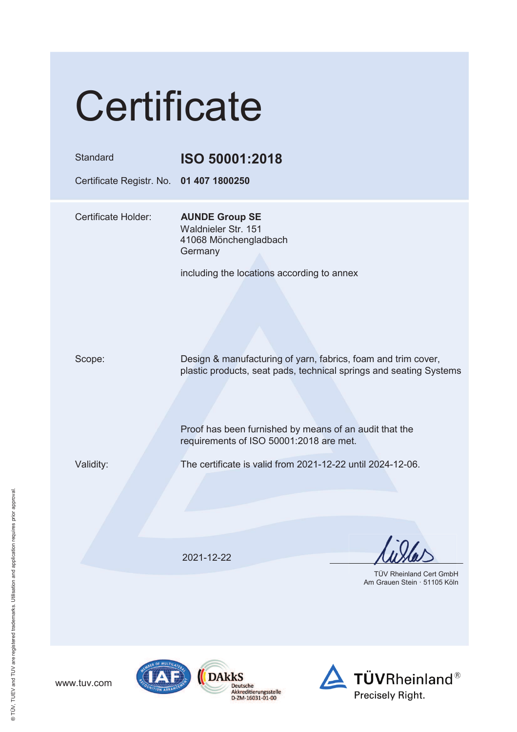| Certificate                             |                                                                                                                                     |  |  |  |
|-----------------------------------------|-------------------------------------------------------------------------------------------------------------------------------------|--|--|--|
| Standard                                | ISO 50001:2018                                                                                                                      |  |  |  |
| Certificate Registr. No. 01 407 1800250 |                                                                                                                                     |  |  |  |
| Certificate Holder:                     | <b>AUNDE Group SE</b><br>Waldnieler Str. 151<br>41068 Mönchengladbach<br>Germany                                                    |  |  |  |
|                                         | including the locations according to annex                                                                                          |  |  |  |
| Scope:                                  | Design & manufacturing of yarn, fabrics, foam and trim cover,<br>plastic products, seat pads, technical springs and seating Systems |  |  |  |
|                                         | Proof has been furnished by means of an audit that the<br>requirements of ISO 50001:2018 are met.                                   |  |  |  |
| Validity:                               | The certificate is valid from 2021-12-22 until 2024-12-06.                                                                          |  |  |  |
|                                         |                                                                                                                                     |  |  |  |
|                                         | 2021-12-22                                                                                                                          |  |  |  |
|                                         | <b>TÜV Rheinland Cert GmbH</b><br>Am Grauen Stein · 51105 Köln                                                                      |  |  |  |



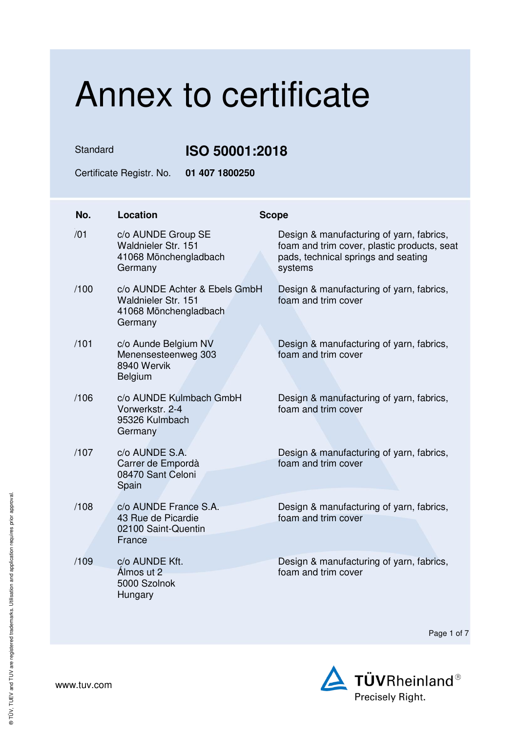## Annex to certificate

Standard **ISO 50001:2018** 

Certificate Registr. No. **01 407 1800250** 

| No.  | Location                                                                                 | <b>Scope</b> |                                                                                                                                           |
|------|------------------------------------------------------------------------------------------|--------------|-------------------------------------------------------------------------------------------------------------------------------------------|
| /01  | c/o AUNDE Group SE<br>Waldnieler Str. 151<br>41068 Mönchengladbach<br>Germany            |              | Design & manufacturing of yarn, fabrics,<br>foam and trim cover, plastic products, seat<br>pads, technical springs and seating<br>systems |
| /100 | c/o AUNDE Achter & Ebels GmbH<br>Waldnieler Str. 151<br>41068 Mönchengladbach<br>Germany |              | Design & manufacturing of yarn, fabrics,<br>foam and trim cover                                                                           |
| /101 | c/o Aunde Belgium NV<br>Menensesteenweg 303<br>8940 Wervik<br>Belgium                    |              | Design & manufacturing of yarn, fabrics,<br>foam and trim cover                                                                           |
| /106 | c/o AUNDE Kulmbach GmbH<br>Vorwerkstr, 2-4<br>95326 Kulmbach<br>Germany                  |              | Design & manufacturing of yarn, fabrics,<br>foam and trim cover                                                                           |
| /107 | c/o AUNDE S.A.<br>Carrer de Empordà<br>08470 Sant Celoni<br>Spain                        |              | Design & manufacturing of yarn, fabrics,<br>foam and trim cover                                                                           |
| /108 | c/o AUNDE France S.A.<br>43 Rue de Picardie<br>02100 Saint-Quentin<br>France             |              | Design & manufacturing of yarn, fabrics,<br>foam and trim cover                                                                           |
| /109 | c/o AUNDE Kft.<br>Álmos ut 2<br>5000 Szolnok<br>Hungary                                  |              | Design & manufacturing of yarn, fabrics,<br>foam and trim cover                                                                           |

Page 1 of 7

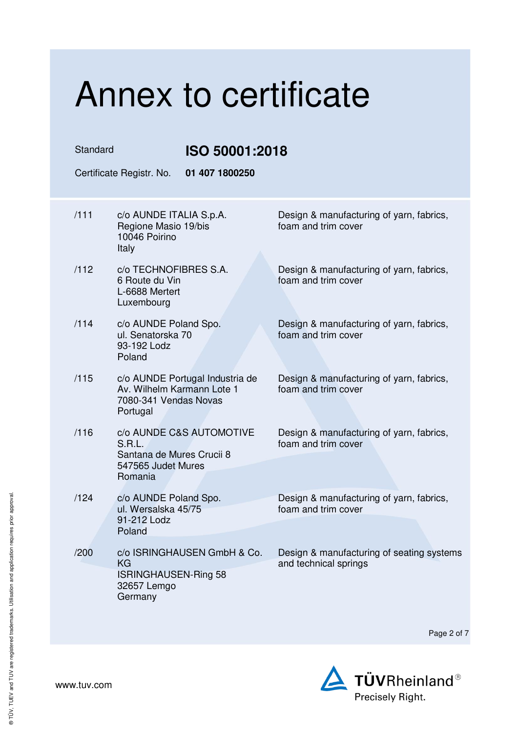### Annex to certificate Standard **ISO 50001:2018**  Certificate Registr. No. **01 407 1800250**  /111 c/o AUNDE ITALIA S.p.A. Regione Masio 19/bis 10046 Poirino Italy Design & manufacturing of yarn, fabrics, foam and trim cover /112 c/o TECHNOFIBRES S.A. 6 Route du Vin L-6688 Mertert Luxembourg Design & manufacturing of yarn, fabrics, foam and trim cover /114 c/o AUNDE Poland Spo. ul. Senatorska 70 93-192 Lodz Poland Design & manufacturing of yarn, fabrics, foam and trim cover /115 c/o AUNDE Portugal Industria de Av. Wilhelm Karmann Lote 1 7080-341 Vendas Novas Portugal Design & manufacturing of yarn, fabrics, foam and trim cover /116 c/o AUNDE C&S AUTOMOTIVE S.R.L. Santana de Mures Crucii 8 547565 Judet Mures Romania Design & manufacturing of yarn, fabrics, foam and trim cover /124 c/o AUNDE Poland Spo. ul. Wersalska 45/75 91-212 Lodz Poland Design & manufacturing of yarn, fabrics, foam and trim cover /200 c/o ISRINGHAUSEN GmbH & Co. KG ISRINGHAUSEN-Ring 58 32657 Lemgo Germany Design & manufacturing of seating systems and technical springs

Page 2 of 7



® TÜV, TUEV and TUV are registered trademarks. Utilisation and application requires prior approval.

® TÜV, TUEV and TUV are registered trademarks. Utilisation and application requires prior approval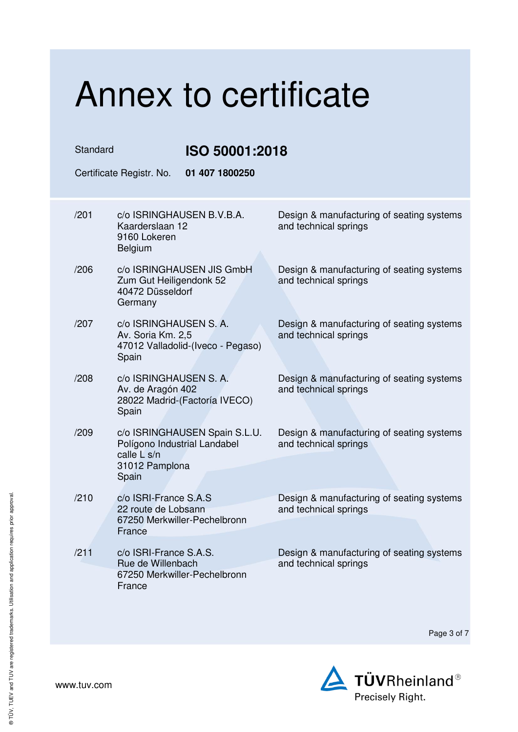| Annex to certificate                       |                                                                                                         |                                                                    |  |  |  |  |
|--------------------------------------------|---------------------------------------------------------------------------------------------------------|--------------------------------------------------------------------|--|--|--|--|
| Standard<br>ISO 50001:2018                 |                                                                                                         |                                                                    |  |  |  |  |
| 01 407 1800250<br>Certificate Registr. No. |                                                                                                         |                                                                    |  |  |  |  |
| /201                                       | c/o ISRINGHAUSEN B.V.B.A.<br>Kaarderslaan 12<br>9160 Lokeren<br>Belgium                                 | Design & manufacturing of seating systems<br>and technical springs |  |  |  |  |
| /206                                       | c/o ISRINGHAUSEN JIS GmbH<br>Zum Gut Heiligendonk 52<br>40472 Düsseldorf<br>Germany                     | Design & manufacturing of seating systems<br>and technical springs |  |  |  |  |
| /207                                       | c/o ISRINGHAUSEN S. A.<br>Av. Soria Km. 2,5<br>47012 Valladolid-(Iveco - Pegaso)<br>Spain               | Design & manufacturing of seating systems<br>and technical springs |  |  |  |  |
| /208                                       | c/o ISRINGHAUSEN S. A.<br>Av. de Aragón 402<br>28022 Madrid-(Factoría IVECO)<br>Spain                   | Design & manufacturing of seating systems<br>and technical springs |  |  |  |  |
| /209                                       | c/o ISRINGHAUSEN Spain S.L.U.<br>Polígono Industrial Landabel<br>calle L s/n<br>31012 Pamplona<br>Spain | Design & manufacturing of seating systems<br>and technical springs |  |  |  |  |
| /210                                       | c/o ISRI-France S.A.S<br>22 route de Lobsann<br>67250 Merkwiller-Pechelbronn<br>France                  | Design & manufacturing of seating systems<br>and technical springs |  |  |  |  |
| /211                                       | c/o ISRI-France S.A.S.<br>Rue de Willenbach<br>67250 Merkwiller-Pechelbronn<br>France                   | Design & manufacturing of seating systems<br>and technical springs |  |  |  |  |

Page 3 of 7

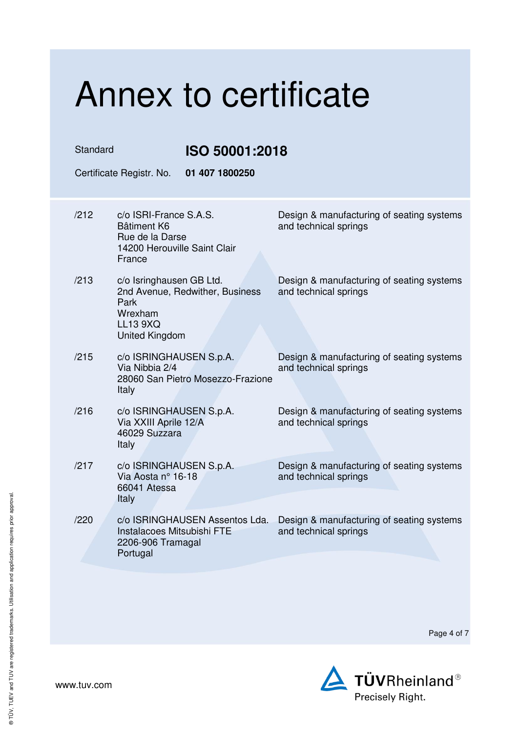## Annex to certificate Standard **ISO 50001:2018**  Certificate Registr. No. **01 407 1800250**  /212 c/o ISRI-France S.A.S. Bâtiment K6 Rue de la Darse 14200 Herouville Saint Clair France Design & manufacturing of seating systems and technical springs /213 c/o Isringhausen GB Ltd. 2nd Avenue, Redwither, Business Park Wrexham LL13 9XQ United Kingdom Design & manufacturing of seating systems and technical springs /215 c/o ISRINGHAUSEN S.p.A. Via Nibbia 2/4 28060 San Pietro Mosezzo-Frazione Italy Design & manufacturing of seating systems and technical springs /216 c/o ISRINGHAUSEN S.p.A. Via XXIII Aprile 12/A 46029 Suzzara Italy Design & manufacturing of seating systems and technical springs /217 c/o ISRINGHAUSEN S.p.A. Via Aosta n° 16-18 66041 Atessa **Italy** Design & manufacturing of seating systems and technical springs /220 c/o ISRINGHAUSEN Assentos Lda. Instalacoes Mitsubishi FTE 2206-906 Tramagal Portugal Design & manufacturing of seating systems and technical springs



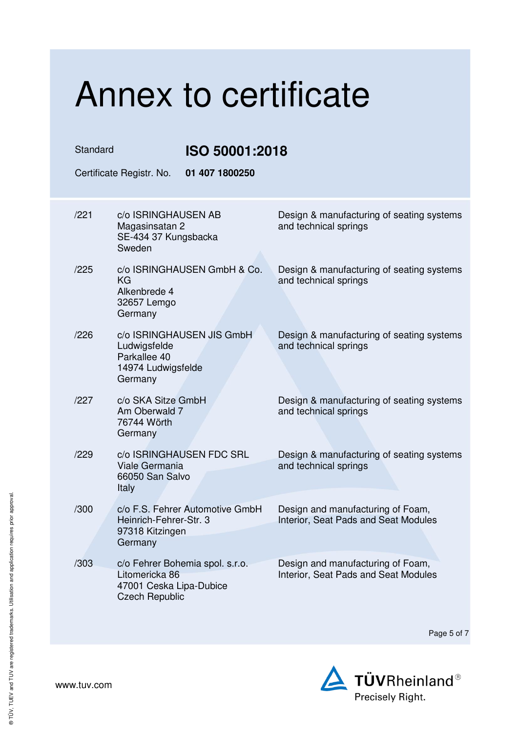### Annex to certificate Standard **ISO 50001:2018**  Certificate Registr. No. **01 407 1800250**  /221 c/o ISRINGHAUSEN AB Magasinsatan 2 SE-434 37 Kungsbacka Sweden Design & manufacturing of seating systems and technical springs /225 c/o ISRINGHAUSEN GmbH & Co. KG Alkenbrede 4 32657 Lemgo **Germany** Design & manufacturing of seating systems and technical springs /226 c/o ISRINGHAUSEN JIS GmbH Ludwigsfelde Parkallee 40 14974 Ludwigsfelde Germany Design & manufacturing of seating systems and technical springs /227 c/o SKA Sitze GmbH Am Oberwald 7 76744 Wörth Germany Design & manufacturing of seating systems and technical springs /229 c/o ISRINGHAUSEN FDC SRL Viale Germania 66050 San Salvo Italy Design & manufacturing of seating systems and technical springs /300 c/o F.S. Fehrer Automotive GmbH Heinrich-Fehrer-Str. 3 97318 Kitzingen Germany Design and manufacturing of Foam, Interior, Seat Pads and Seat Modules /303 c/o Fehrer Bohemia spol. s.r.o. Litomericka 86 47001 Ceska Lipa-Dubice Czech Republic Design and manufacturing of Foam, Interior, Seat Pads and Seat Modules

Page 5 of 7

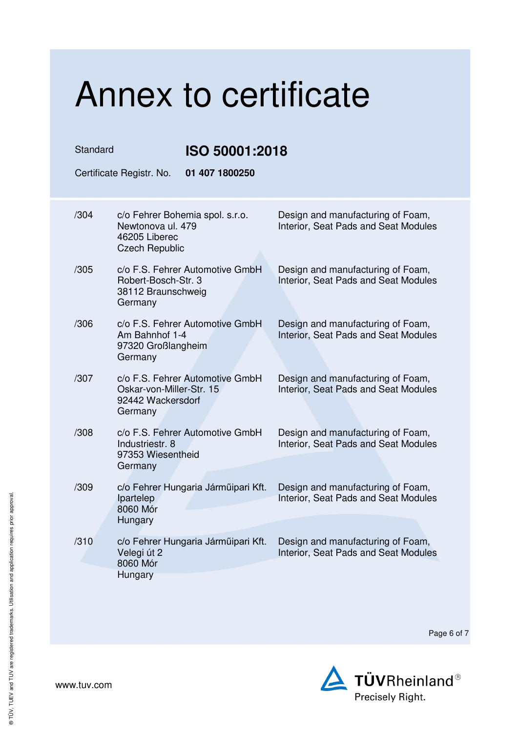#### Annex to certificate Standard **ISO 50001:2018**  Certificate Registr. No. **01 407 1800250**  /304 c/o Fehrer Bohemia spol. s.r.o. Newtonova ul. 479 46205 Liberec Czech Republic Design and manufacturing of Foam, Interior, Seat Pads and Seat Modules /305 c/o F.S. Fehrer Automotive GmbH Robert-Bosch-Str. 3 38112 Braunschweig Germany Design and manufacturing of Foam, Interior, Seat Pads and Seat Modules /306 c/o F.S. Fehrer Automotive GmbH Am Bahnhof 1-4 97320 Großlangheim Germany Design and manufacturing of Foam, Interior, Seat Pads and Seat Modules /307 c/o F.S. Fehrer Automotive GmbH Oskar-von-Miller-Str. 15 92442 Wackersdorf Germany Design and manufacturing of Foam, Interior, Seat Pads and Seat Modules /308 c/o F.S. Fehrer Automotive GmbH Industriestr. 8 97353 Wiesentheid **Germany** Design and manufacturing of Foam, Interior, Seat Pads and Seat Modules /309 c/o Fehrer Hungaria Járműipari Kft. Ipartelep 8060 Mór **Hungary** Design and manufacturing of Foam, Interior, Seat Pads and Seat Modules /310 c/o Fehrer Hungaria Járműipari Kft. Velegi út 2 8060 Mór **Hungary** Design and manufacturing of Foam, Interior, Seat Pads and Seat Modules

Page 6 of 7